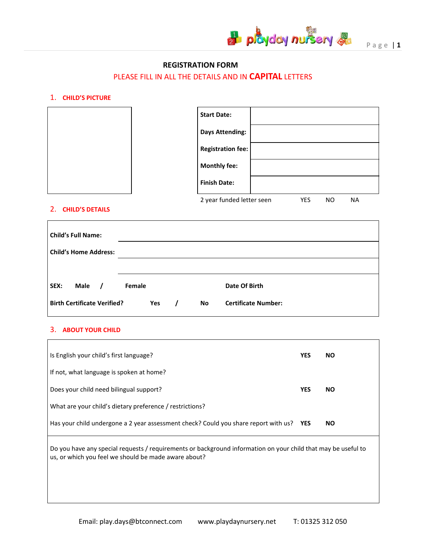

# **REGISTRATION FORM**

# PLEASE FILL IN ALL THE DETAILS AND IN **CAPITAL** LETTERS

### 1. **CHILD'S PICTURE**

| <b>Start Date:</b>        |     |           |           |
|---------------------------|-----|-----------|-----------|
| <b>Days Attending:</b>    |     |           |           |
| <b>Registration fee:</b>  |     |           |           |
| <b>Monthly fee:</b>       |     |           |           |
| <b>Finish Date:</b>       |     |           |           |
| 2 year funded letter seen | YES | <b>NO</b> | <b>NA</b> |

#### 2. **CHILD'S DETAILS**

| <b>Child's Full Name:</b><br><b>Child's Home Address:</b> |        |    |                            |
|-----------------------------------------------------------|--------|----|----------------------------|
|                                                           |        |    |                            |
| Male<br>SEX:                                              | Female |    | Date Of Birth              |
| <b>Birth Certificate Verified?</b>                        | Yes    | No | <b>Certificate Number:</b> |

#### 3. **ABOUT YOUR CHILD**

 $\overline{\Gamma}$ 

| Is English your child's first language?                                                                                                                               | <b>YES</b> | NO.       |
|-----------------------------------------------------------------------------------------------------------------------------------------------------------------------|------------|-----------|
| If not, what language is spoken at home?                                                                                                                              |            |           |
| Does your child need bilingual support?                                                                                                                               | <b>YES</b> | NO.       |
| What are your child's dietary preference / restrictions?                                                                                                              |            |           |
| Has your child undergone a 2 year assessment check? Could you share report with us? YES                                                                               |            | <b>NO</b> |
| Do you have any special requests / requirements or background information on your child that may be useful to<br>us, or which you feel we should be made aware about? |            |           |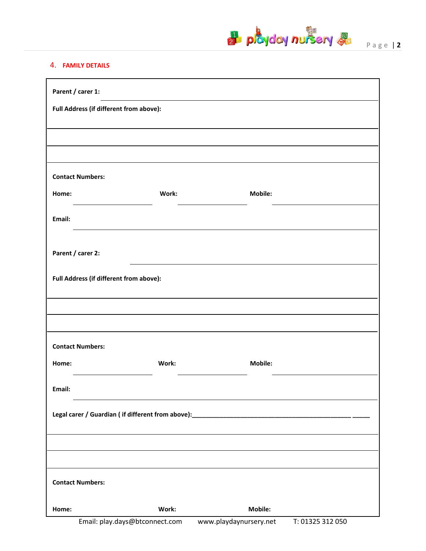

# 4. **FAMILY DETAILS**

| Parent / carer 1:                                                                 |       |                        |                  |  |
|-----------------------------------------------------------------------------------|-------|------------------------|------------------|--|
| Full Address (if different from above):                                           |       |                        |                  |  |
|                                                                                   |       |                        |                  |  |
|                                                                                   |       |                        |                  |  |
|                                                                                   |       |                        |                  |  |
| <b>Contact Numbers:</b>                                                           |       |                        |                  |  |
| Home:                                                                             | Work: | Mobile:                |                  |  |
| Email:                                                                            |       |                        |                  |  |
|                                                                                   |       |                        |                  |  |
| Parent / carer 2:                                                                 |       |                        |                  |  |
| Full Address (if different from above):                                           |       |                        |                  |  |
|                                                                                   |       |                        |                  |  |
|                                                                                   |       |                        |                  |  |
| <b>Contact Numbers:</b>                                                           |       |                        |                  |  |
| Home:                                                                             | Work: | Mobile:                |                  |  |
| Email:                                                                            |       |                        |                  |  |
| Legal carer / Guardian (if different from above):________________________________ |       |                        |                  |  |
|                                                                                   |       |                        |                  |  |
|                                                                                   |       |                        |                  |  |
| <b>Contact Numbers:</b>                                                           |       |                        |                  |  |
| Home:                                                                             | Work: | Mobile:                |                  |  |
| Email: play.days@btconnect.com                                                    |       | www.playdaynursery.net | T: 01325 312 050 |  |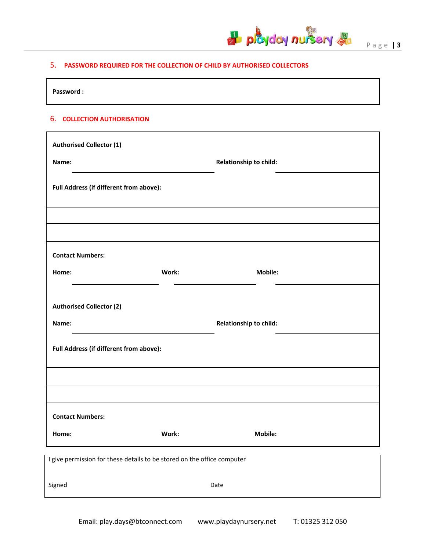

# 5. **PASSWORD REQUIRED FOR THE COLLECTION OF CHILD BY AUTHORISED COLLECTORS**

**Password :**

#### 6. **COLLECTION AUTHORISATION**

| <b>Authorised Collector (1)</b>                                         |       |                        |  |
|-------------------------------------------------------------------------|-------|------------------------|--|
| Name:                                                                   |       | Relationship to child: |  |
| Full Address (if different from above):                                 |       |                        |  |
|                                                                         |       |                        |  |
|                                                                         |       |                        |  |
| <b>Contact Numbers:</b>                                                 |       |                        |  |
| Home:                                                                   | Work: | Mobile:                |  |
|                                                                         |       |                        |  |
| <b>Authorised Collector (2)</b>                                         |       |                        |  |
| Name:                                                                   |       | Relationship to child: |  |
| Full Address (if different from above):                                 |       |                        |  |
|                                                                         |       |                        |  |
|                                                                         |       |                        |  |
| <b>Contact Numbers:</b>                                                 |       |                        |  |
| Home:                                                                   | Work: | Mobile:                |  |
| I give permission for these details to be stored on the office computer |       |                        |  |
|                                                                         |       |                        |  |
| Signed                                                                  |       | Date                   |  |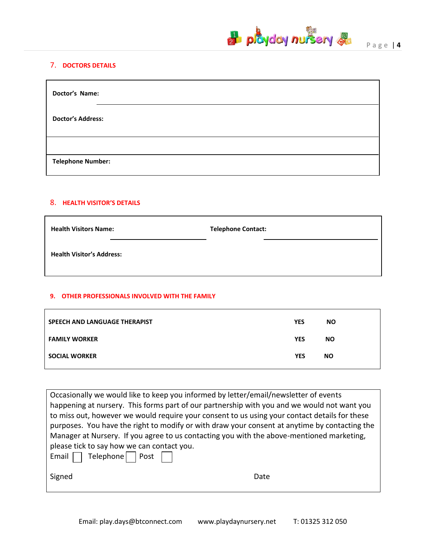

# 7. **DOCTORS DETAILS**

| Doctor's Name:           |
|--------------------------|
| <b>Doctor's Address:</b> |
|                          |
| <b>Telephone Number:</b> |

# 8. **HEALTH VISITOR'S DETAILS**

| <b>Health Visitors Name:</b>     | <b>Telephone Contact:</b> |
|----------------------------------|---------------------------|
| <b>Health Visitor's Address:</b> |                           |

# **9. OTHER PROFESSIONALS INVOLVED WITH THE FAMILY**

| SPEECH AND LANGUAGE THERAPIST | <b>YES</b> | <b>NO</b> |
|-------------------------------|------------|-----------|
| <b>FAMILY WORKER</b>          | <b>YES</b> | <b>NO</b> |
| <b>SOCIAL WORKER</b>          | <b>YES</b> | <b>NO</b> |

| Occasionally we would like to keep you informed by letter/email/newsletter of events          |  |  |  |
|-----------------------------------------------------------------------------------------------|--|--|--|
| happening at nursery. This forms part of our partnership with you and we would not want you   |  |  |  |
| to miss out, however we would require your consent to us using your contact details for these |  |  |  |
| purposes. You have the right to modify or with draw your consent at anytime by contacting the |  |  |  |
| Manager at Nursery. If you agree to us contacting you with the above-mentioned marketing,     |  |  |  |
| please tick to say how we can contact you.                                                    |  |  |  |
| Email     Telephone   $\sqrt{ }$ Post $\sqrt{ }$                                              |  |  |  |
| Signed<br>Date                                                                                |  |  |  |
|                                                                                               |  |  |  |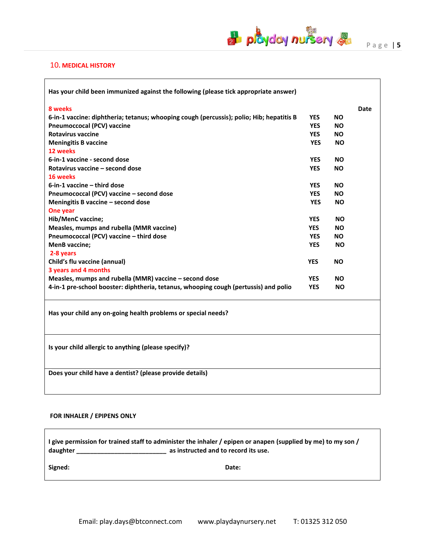

┑

#### 10**. MEDICAL HISTORY**

| Has your child been immunized against the following (please tick appropriate answer)     |            |           |      |
|------------------------------------------------------------------------------------------|------------|-----------|------|
| 8 weeks                                                                                  |            |           | Date |
| 6-in-1 vaccine: diphtheria; tetanus; whooping cough (percussis); polio; Hib; hepatitis B | <b>YES</b> | NO.       |      |
| <b>Pneumoccocal (PCV) vaccine</b>                                                        | <b>YES</b> | <b>NO</b> |      |
| <b>Rotavirus vaccine</b>                                                                 | <b>YES</b> | NO.       |      |
| <b>Meningitis B vaccine</b>                                                              | <b>YES</b> | <b>NO</b> |      |
| 12 weeks                                                                                 |            |           |      |
| 6-in-1 vaccine - second dose                                                             | <b>YES</b> | <b>NO</b> |      |
| Rotavirus vaccine - second dose                                                          | <b>YES</b> | <b>NO</b> |      |
| 16 weeks                                                                                 |            |           |      |
| 6-in-1 vaccine - third dose                                                              | <b>YES</b> | <b>NO</b> |      |
| Pneumococcal (PCV) vaccine - second dose                                                 | <b>YES</b> | <b>NO</b> |      |
| Meningitis B vaccine - second dose                                                       | <b>YES</b> | <b>NO</b> |      |
| One year                                                                                 |            |           |      |
| Hib/MenC vaccine;                                                                        | <b>YES</b> | ΝO        |      |
| Measles, mumps and rubella (MMR vaccine)                                                 | <b>YES</b> | <b>NO</b> |      |
| Pneumococcal (PCV) vaccine - third dose                                                  | <b>YES</b> | <b>NO</b> |      |
| <b>MenB</b> vaccine;                                                                     | <b>YES</b> | <b>NO</b> |      |
| 2-8 years                                                                                |            |           |      |
| Child's flu vaccine (annual)                                                             | <b>YES</b> | NO.       |      |
| 3 years and 4 months                                                                     |            |           |      |
| Measles, mumps and rubella (MMR) vaccine - second dose                                   | <b>YES</b> | <b>NO</b> |      |
| 4-in-1 pre-school booster: diphtheria, tetanus, whooping cough (pertussis) and polio     | <b>YES</b> | <b>NO</b> |      |
| Has your child any on-going health problems or special needs?                            |            |           |      |
| Is your child allergic to anything (please specify)?                                     |            |           |      |
| Does your child have a dentist? (please provide details)                                 |            |           |      |
|                                                                                          |            |           |      |

#### **FOR INHALER / EPIPENS ONLY**

**I give permission for trained staff to administer the inhaler / epipen or anapen (supplied by me) to my son / daughter \_\_\_\_\_\_\_\_\_\_\_\_\_\_\_\_\_\_\_\_\_\_\_\_\_\_ as instructed and to record its use.**

**Signed: Date:**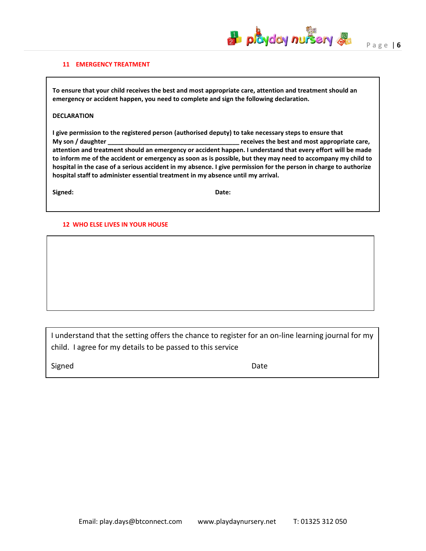

#### **11 EMERGENCY TREATMENT**

**To ensure that your child receives the best and most appropriate care, attention and treatment should an emergency or accident happen, you need to complete and sign the following declaration.**

#### **DECLARATION**

**I give permission to the registered person (authorised deputy) to take necessary steps to ensure that My son / daughter \_\_\_\_\_\_\_\_\_\_\_\_\_\_\_\_\_\_\_\_\_\_\_\_\_\_\_\_\_\_\_\_\_\_\_\_\_\_ receives the best and most appropriate care, attention and treatment should an emergency or accident happen. I understand that every effort will be made to inform me of the accident or emergency as soon as is possible, but they may need to accompany my child to hospital in the case of a serious accident in my absence. I give permission for the person in charge to authorize hospital staff to administer essential treatment in my absence until my arrival.**

**Signed: Date:**

#### **12 WHO ELSE LIVES IN YOUR HOUSE**

I understand that the setting offers the chance to register for an on-line learning journal for my child. I agree for my details to be passed to this service

Signed **Date**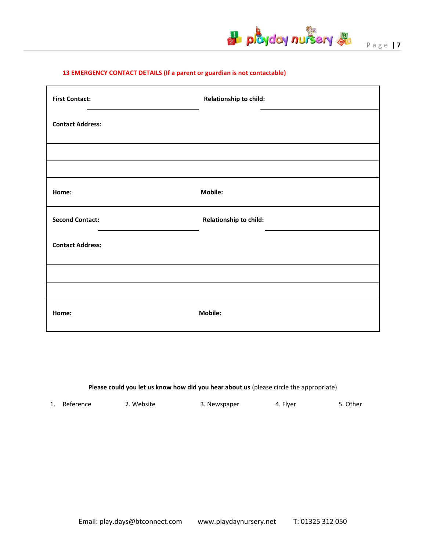

P a g e | **7**

### **13 EMERGENCY CONTACT DETAILS (If a parent or guardian is not contactable)**

| <b>First Contact:</b>                                                     | Relationship to child: |
|---------------------------------------------------------------------------|------------------------|
| <b>Contact Address:</b>                                                   |                        |
|                                                                           |                        |
|                                                                           |                        |
| Home:                                                                     | Mobile:                |
| <b>Second Contact:</b><br>the contract of the contract of the contract of | Relationship to child: |
| <b>Contact Address:</b>                                                   |                        |
|                                                                           |                        |
|                                                                           |                        |
| Home:                                                                     | Mobile:                |

**Please could you let us know how did you hear about us** (please circle the appropriate)

| 1. Reference | 2. Website | 3. Newspaper | 4. Flyer | 5. Other |
|--------------|------------|--------------|----------|----------|
|              |            |              |          |          |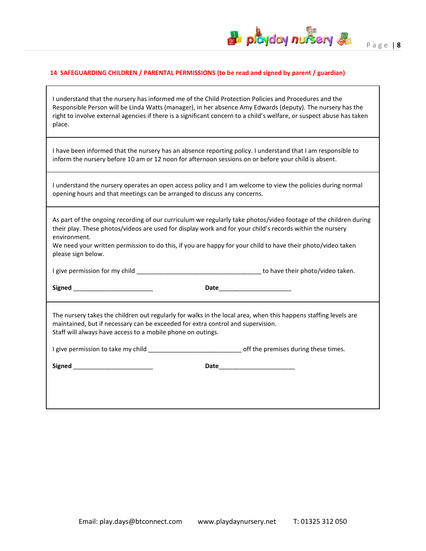# **H** playday nursery &

٦

# **14 SAFEGUARDING CHILDREN / PARENTAL PERMISSIONS (to be read and signed by parent / guardian)**

 $\Gamma$ 

| I understand that the nursery has informed me of the Child Protection Policies and Procedures and the<br>Responsible Person will be Linda Watts (manager), in her absence Amy Edwards (deputy). The nursery has the<br>right to involve external agencies if there is a significant concern to a child's welfare, or suspect abuse has taken<br>place.                             |                                                                                                            |  |  |  |
|------------------------------------------------------------------------------------------------------------------------------------------------------------------------------------------------------------------------------------------------------------------------------------------------------------------------------------------------------------------------------------|------------------------------------------------------------------------------------------------------------|--|--|--|
| I have been informed that the nursery has an absence reporting policy. I understand that I am responsible to<br>inform the nursery before 10 am or 12 noon for afternoon sessions on or before your child is absent.                                                                                                                                                               |                                                                                                            |  |  |  |
| I understand the nursery operates an open access policy and I am welcome to view the policies during normal<br>opening hours and that meetings can be arranged to discuss any concerns.                                                                                                                                                                                            |                                                                                                            |  |  |  |
| As part of the ongoing recording of our curriculum we regularly take photos/video footage of the children during<br>their play. These photos/videos are used for display work and for your child's records within the nursery<br>environment.<br>We need your written permission to do this, if you are happy for your child to have their photo/video taken<br>please sign below. |                                                                                                            |  |  |  |
|                                                                                                                                                                                                                                                                                                                                                                                    |                                                                                                            |  |  |  |
|                                                                                                                                                                                                                                                                                                                                                                                    |                                                                                                            |  |  |  |
| The nursery takes the children out regularly for walks in the local area, when this happens staffing levels are<br>maintained, but if necessary can be exceeded for extra control and supervision.<br>Staff will always have access to a mobile phone on outings.                                                                                                                  |                                                                                                            |  |  |  |
|                                                                                                                                                                                                                                                                                                                                                                                    | I give permission to take my child ___________________________________off the premises during these times. |  |  |  |
| Signed ____________________________                                                                                                                                                                                                                                                                                                                                                | Date____________________________                                                                           |  |  |  |
|                                                                                                                                                                                                                                                                                                                                                                                    |                                                                                                            |  |  |  |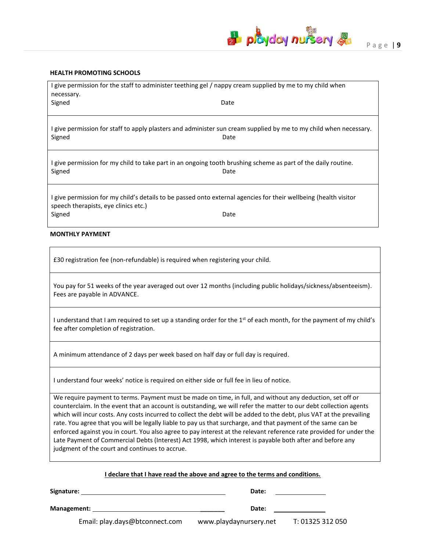

#### **HEALTH PROMOTING SCHOOLS**

| I give permission for the staff to administer teething gel / nappy cream supplied by me to my child when                                                 |      |  |  |  |
|----------------------------------------------------------------------------------------------------------------------------------------------------------|------|--|--|--|
| necessary.                                                                                                                                               |      |  |  |  |
| Signed                                                                                                                                                   | Date |  |  |  |
|                                                                                                                                                          |      |  |  |  |
| I give permission for staff to apply plasters and administer sun cream supplied by me to my child when necessary.<br>Signed                              | Date |  |  |  |
| I give permission for my child to take part in an ongoing tooth brushing scheme as part of the daily routine.<br>Signed                                  | Date |  |  |  |
| I give permission for my child's details to be passed onto external agencies for their wellbeing (health visitor<br>speech therapists, eye clinics etc.) |      |  |  |  |
| Signed                                                                                                                                                   | Date |  |  |  |

#### **MONTHLY PAYMENT**

£30 registration fee (non-refundable) is required when registering your child.

You pay for 51 weeks of the year averaged out over 12 months (including public holidays/sickness/absenteeism). Fees are payable in ADVANCE.

I understand that I am required to set up a standing order for the 1<sup>st</sup> of each month, for the payment of my child's fee after completion of registration.

A minimum attendance of 2 days per week based on half day or full day is required.

I understand four weeks' notice is required on either side or full fee in lieu of notice.

We require payment to terms. Payment must be made on time, in full, and without any deduction, set off or counterclaim. In the event that an account is outstanding, we will refer the matter to our debt collection agents which will incur costs. Any costs incurred to collect the debt will be added to the debt, plus VAT at the prevailing rate. You agree that you will be legally liable to pay us that surcharge, and that payment of the same can be enforced against you in court. You also agree to pay interest at the relevant reference rate provided for under the Late Payment of Commercial Debts (Interest) Act 1998, which interest is payable both after and before any judgment of the court and continues to accrue.

|  | I declare that I have read the above and agree to the terms and conditions. |  |  |
|--|-----------------------------------------------------------------------------|--|--|
|--|-----------------------------------------------------------------------------|--|--|

| Signature:  |                                | Date:                  |                  |  |
|-------------|--------------------------------|------------------------|------------------|--|
| Management: |                                | Date:                  |                  |  |
|             | Email: play.days@btconnect.com | www.playdaynursery.net | T: 01325 312 050 |  |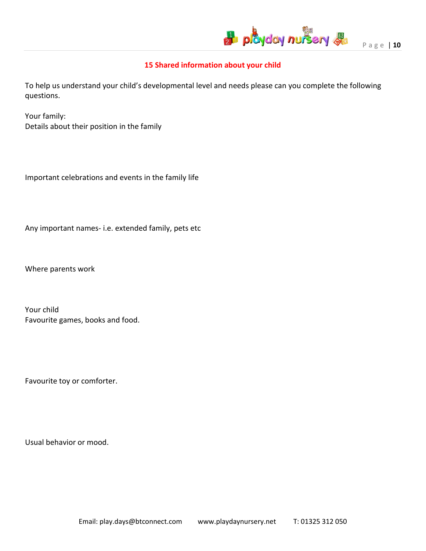

# **15 Shared information about your child**

To help us understand your child's developmental level and needs please can you complete the following questions.

Your family: Details about their position in the family

Important celebrations and events in the family life

Any important names- i.e. extended family, pets etc

Where parents work

Your child Favourite games, books and food.

Favourite toy or comforter.

Usual behavior or mood.